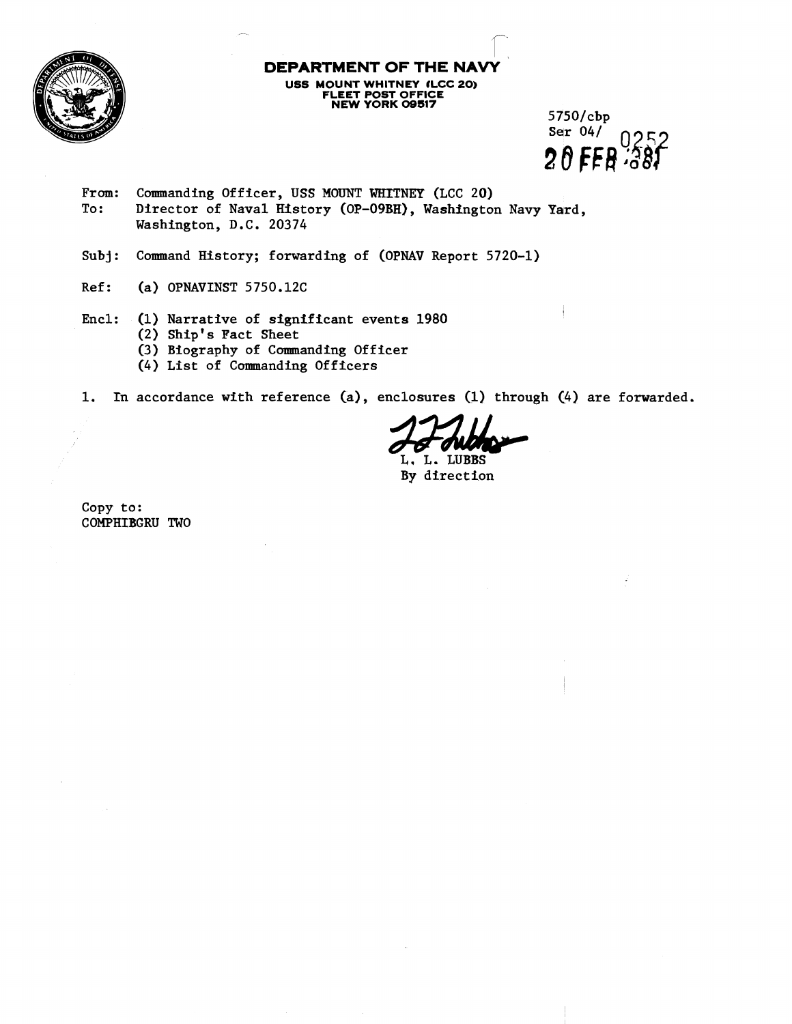

**DEPARTMENT OF THE NA USS MOUNT WHITNEY fLCC 20) FLEET POST OFFICE NEW YORK 09517** 

5750/cbp Ser  $04/$ ndro  $20$  FFR  $381$ 

- From: Commanding Officer, USS MOUNT WHITNEY (LCC 20)<br>To: Director of Naval History (OP-09BH). Washington Director of Naval History (OP-O9BH), Washington Navy Yard, Washington, D.C. 20374
- **Subj:** Command History; forwarding of (OPNAV Report 5720-1)
- Ref: **(a)** OPNAVINST 5750.12C
- Encl: (1) Narrative of significant events 1980
	- (2) Ship's Pact Sheet
	- (3) Biography of Commanding Officer
	- (4) List of Commanding Officers

1. In accordance with reference  $(a)$ , enclosures  $(1)$  through  $(4)$  are forwarded.

aclosures (1) through (4) an<br> **L. L. LUBBS**<br>
By direction

By direction

Copy to: COMPHIBGRU TWO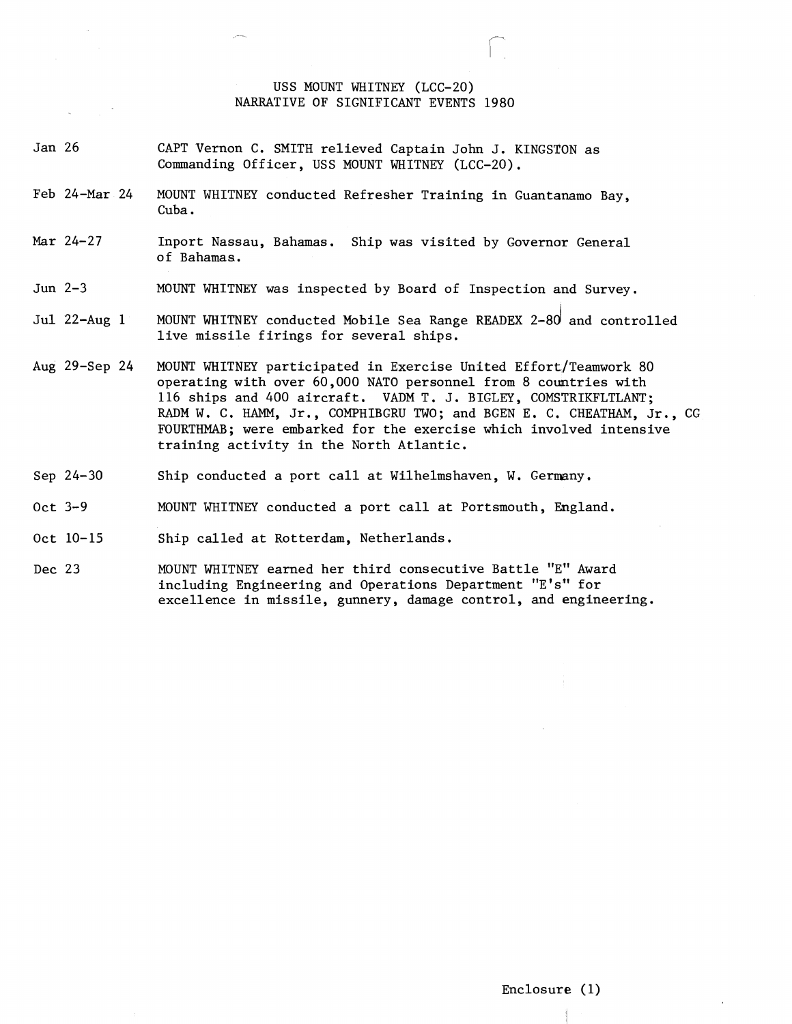## USS MOUNT WHITNEY (LCC-20) NARRATIVE OF SIGNIFICANT EVENTS 1980

- Jan 26 CAPT Vernon C. SMITH relieved Captain John J. KINGSTON as Commanding Officer, USS MOUNT WHITNEY (LCC-20).
- Feb 24-Mar 24 MOUNT WHITNEY conducted Refresher Training in Guantanamo Bay, Cuba.
- Mar 24-27 Inport Nassau, Bahamas. Ship was visited by Governor General of Bahamas.
- Jun 2-3 MOUNT WHITNEY was inspected by Board of Inspection and Survey.
- Jul 22-Aug  $1$  MOUNT WHITNEY conducted Mobile Sea Range READEX 2-80 and controlled live missile firings for several ships.
- Aug 29-Sep 24 MOUNT WHITNEY participated in Exercise United Effort/Teamwork 80 operating with over 60,000 NATO personnel from 8 countries with 116 ships and 400 aircraft. VADM T. J. BIGLEY, COMSTRIKFLTLANT; **RADM** W. C. **HAMM,** Jr., COMPHIBGRU TWO; and BGEN E. C. CHEATHAM, Jr., CG FOURTHMAB; were embarked for the exercise which involved intensive training activity in the North Atlantic.
- Sep 24-30 Ship conducted a port call at Wilhelmshaven, W. Germany.
- oct 3-9 MOUNT WHITNEY conducted a port call at Portsmouth, England.
- Oct 10-15 Ship called at Rotterdam, Netherlands.
- Dec 23 MOUNT WHITNEY earned her third consecutive Battle "E" Award including Engineering and Operations Department "E's" for excellence in missile, gunnery, damage control, and engineering.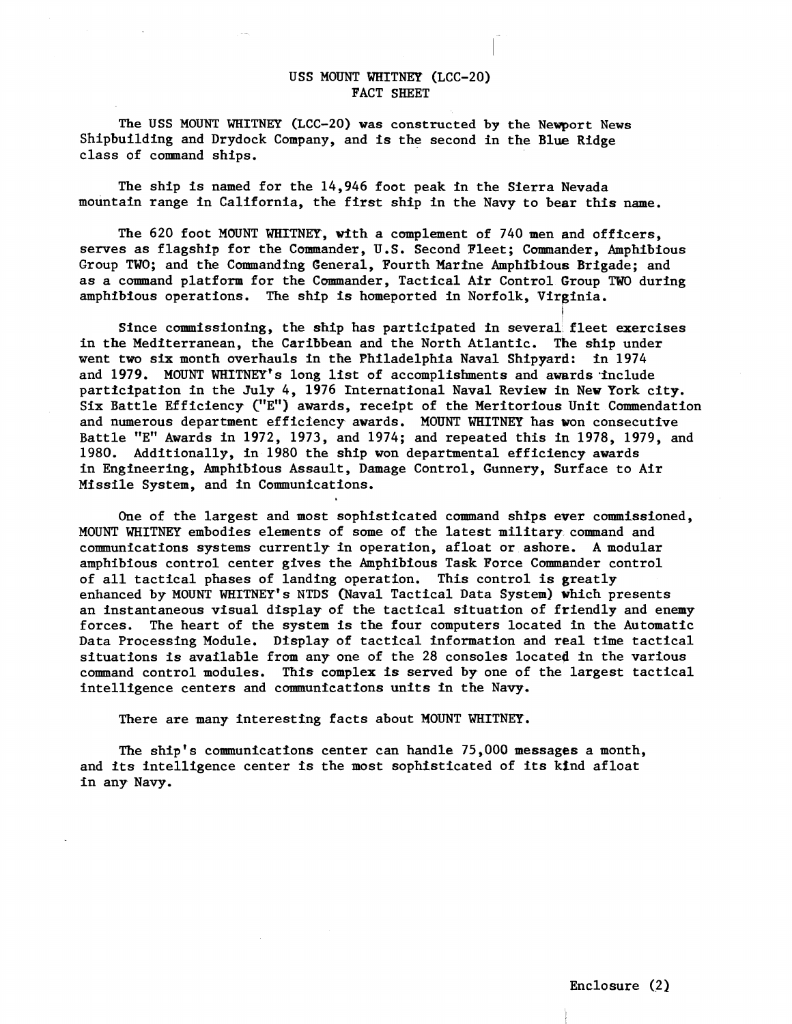## USS MOUNT WRITNEY (LCC-20) FACT SHEET

The **USS MOUNT** WHITNEY **(LCC-20)** was constructed **by** the Newport News Shipbuilding and Drydock Company, and is the second in the Blue Ridge class of command ships.

The ship is named for the 14,946 foot peak in the Sierra Nevada mountain range in California, the first ship in the Navy to bear this name.

The 620 foot MOUNT **WHITNEY,** with a complement of 740 men and officers, serves as flagship for the Commander, U.S. Second Fleet; Commander, Amphibious Group TWO; and the Commanding General, Fourth Marine Amphibious Brigade; and as a command platform for the Commander, Tactical Air Control Group TWO during amphibious operations. The ship is homeported in Norfolk, Virginia.

I Since commissioning, the ship has participated in several fleet exercises in the Mediterranean, the Caribbean and the North Atlantic. The ship under went two six month overhauls in the Philadelphia Naval Shipyard: in 1974 and 1979. MOUNT WHITNEY's long list of accomplishments and awards include participation in the July 4, 1976 International Naval Review in New Pork city. Six Battle Efficiency C'E") awards, receipt of the Meritorious Unit Commendation and numerous department efficiency awards. MOUNT WHITNEY has won consecutive Battle "E" Awards in 1972, 1973, and 1974; and repeated this in 1978, 1979, and 1980. Additionally, in 1980 the ship won departmental efficiency awards in Engineering, Amphibious Assault, Damage Control, Gunnery, Surface to Air Missile System, and in Communications.

One of the largest and most sophisticated command ships ewer commissioned, MOUNT WHITNEY embodies elements of some of the latest military command and communications systems currently in operation, afloat or ashore. A modular amphibious control center gives the Amphibious Task Force Commander control of all tactical phases of landing operation. This control is greatly enhanced by **MOUNT** WRTTNEY's **NTDS** (Naval Tactical Data System) which presents an instantaneous visual display of the tactical situation of friendly and enemy forces. The heart of the system is the four computers located in the Automatic Data Processing Module. Display of tactical information and real time tactical situations is available from any one of the 28 consoles located in the various command control modules. This complex is served by one of the largest tactical intelligence centers and communications units in the Navy.

There are many interesting facts about MOUNT WHITNEY.

The ship's communications center can handle 75,000 messages a month, and its intelligence center is the most sophisticated of its kind afloat in any Navy.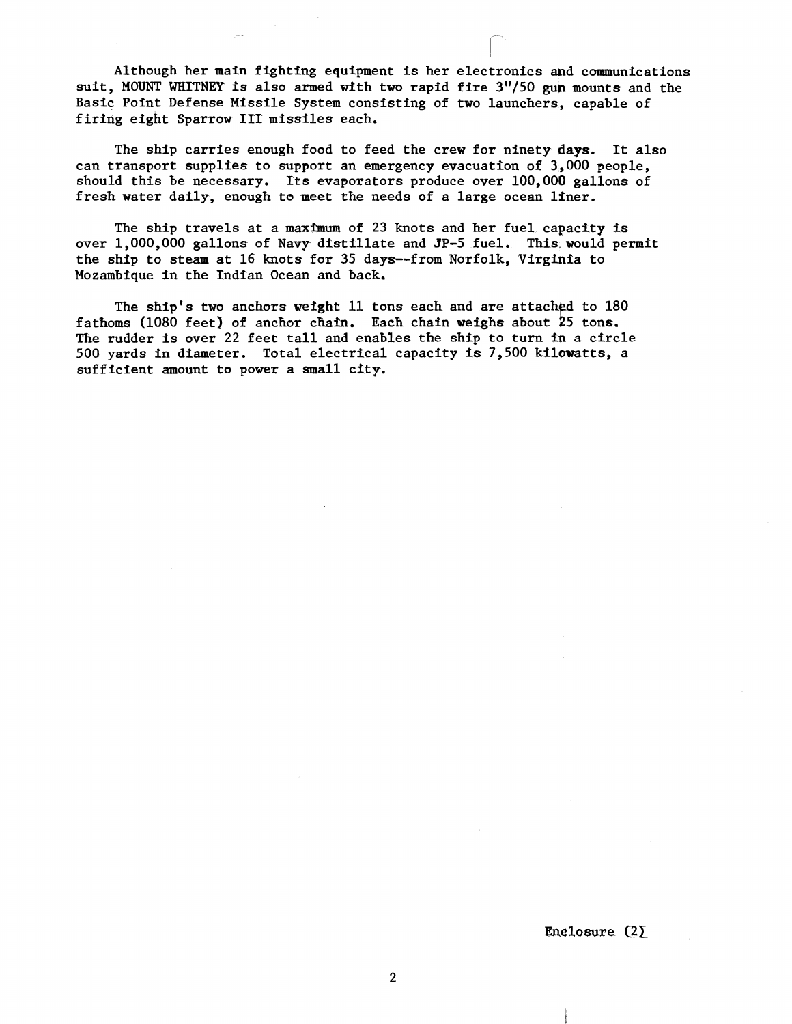Although her main fighting equipment is her electronics and communications suit, MOUNT WRITNEY is also armed with two rapid fire 3"/50 gun mounts and the Basic Point Defense Missile System consisting of two launchers, capable of firing eight Sparrow **IT1** missiles each.

The ship carries enough food to feed the crew for ninety days. It also can transport supplies to support an emergency evacuation of 3,000 people, should this be necessary. **Its** evaporators produce over 100,000 gallons of fresh water daily, enough to meet the needs of a large ocean liner.

The ship travels at a maximum of 23 knots and her fuel capacity is over 1,000,000 gallons of Navy dfstillate and **3P-5** fuel. This would permit the ship to steam at 16 knots for 35 days--from Norfolk, Virginia to Mozambique in the Indfan Ocean and back.

The ship's two anchors weight 11 tons each and are attached to 180 fathoms (1080 feet) of anchor chain. Each chain weighs about  $25$  tons. Tke rudder is aver 22 feet tall and enables **the ship** to turn in a circle 500 yards in diameter. Total electrical capacity is 7,500 kilowatts, a sufficient amount to power a small city.

Enclosure  $(2)$